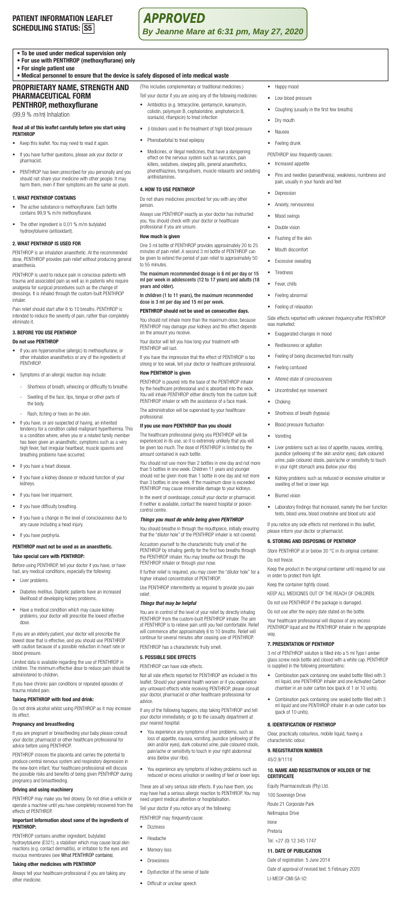# **PATIENT INFORMATION LEAFLET SCHEDULING STATUS: S5**

**APPROVED By Jeanne Mare at 6:31 pm, May 27, 2020**

# **• To be used under medical supervision only**

- **For use with PENTHROP (methoxyflurane) only**
- **For single patient use**

# **PROPRIETARY NAME, STRENGTH AND • Medical personnel to ensure that the device is safely disposed of into medical waste**

- (This includes complementary or traditional medicines.)
- **PHARMACEUTICAL FORM PENTHROP, methoxyflurane**  (99,9 % *m/m*) Inhalation

# **Read all of this leaflet carefully before you start using PENTHROP**

- Keep this leaflet. You may need to read it again.
- If you have further questions, please ask your doctor or pharmacist.
- PENTHROP has been prescribed for you personally and you should not share your medicine with other people. It may harm them, even if their symptoms are the same as yours.

# **1. WHAT PENTHROP CONTAINS**

- The active substance is methoxyflurane. Each bottle contains 99,9 % m/m methoxyflurane.
- The other ingredient is 0,01 % m/m butylated hydroxytoluene (antioxidant).

# **2. WHAT PENTHROP IS USED FOR**

PENTHROP is an inhalation anaesthetic. At the recommended dose, PENTHROP provides pain relief without producing general anaesthesia.

PENTHROP is used to reduce pain in conscious patients with trauma and associated pain as well as in patients who require analgesia for surgical procedures such as the change of dressings. It is inhaled through the custom-built PENTHROP inhaler.

Pain relief should start after 6 to 10 breaths. PENTHROP is intended to reduce the severity of pain, rather than completely eliminate it.

### **3. BEFORE YOU USE PENTHROP**

#### **Do not use PENTHROP**

- If you are hypersensitive (allergic) to methoxyflurane, or other inhalation anaesthetics or any of the ingredients of PENTHROP.
- Symptoms of an allergic reaction may include:
	- Shortness of breath, wheezing or difficultly to breathe. Swelling of the face, lips, tongue or other parts of the body.
	- Rash, itching or hives on the skin.
- If you have, or are suspected of having, an inherited<br>tendency for a condition called malignant hyperthermia. This<br>is a condition where, when you or a related family member<br>has been given an anaesthetic, symptoms such as breathing problems have occurred.
- If you have a heart disease.
- If you have a kidney disease or reduced function of your kidneys.
- If you have liver impairment.
- If you have difficulty breathing.
- If you have a change in the level of consciousness due to any cause including a head injury.
- If you have porphyria.

## **PENTHROP** must not be used as an anaesth **Take special care with PENTHROP:**

Before using PENTHROP, tell your doctor if you have, or have had, any medical conditions, especially the following:

- Liver problems.
- Diabetes mellitus. Diabetic patients have an increased likelihood of developing kidney problems.
- Have a medical condition which may cause kidney problems, your doctor will prescribe the lowest effective dose.

If you are an elderly patient, your doctor will prescribe the lowest dose that is effective, and you should use PENTHROP with caution because of a possible reduction in heart rate or blood pressure.

Limited data is available regarding the use of PENTHROP in children. The minimum effective dose to reduce pain should be administered to children.

If you have chronic pain conditions or repeated episodes of uma related pair

#### **Taking PENTHROP with food and drink:**

Do not drink alcohol whilst using PENTHROP as it may increase effect

#### **Pregnancy and breastfeeding**

If you are pregnant or breastfeeding your baby please consult your doctor, pharmacist or other healthcare professional for advice before using PENTHROP.

PENTHROP crosses the placenta and carries the potential to produce central nervous system and respiratory depression in the new-born infant. Your healthcare professional will discuss the possible risks and benefits of being given PENTHROP during nancy and breastfeeding.

# **Driving and using machinery**

PENTHROP may make you feel drowsy. Do not drive a vehicle or operate a machine until you have completely recovered from the effects of PENTHROP.

# **Important information about some of the ingredients of PENTHROP:**

PENTHROP contains another ingredient, butylated<br>hydroxytoluene (E321), a stabiliser which may cause local skin<br>reactions (e.g. contact dermatitis), or irritation to the eyes and<br>mucous membranes (see What PENTHROP contains

#### **Taking other medicines with PENTHROP**

Always tell your healthcare professional if you are taking any other medicine.

- Tell your doctor if you are using any of the following medicines:
- Antibiotics (e.g. tetracycline, gentamycin, kanamycin, colistin, polymyxin B, cephaloridine, amphotericin B, isoniazid, rifampicin) to treat infection
- β-blockers used in the treatment of high blood pressure
- Phenobarbital to treat epilepsy
- Medicines, or illegal medicines, that have a dampening effect on the nervous system such as narcotics, pain killers, sedatives, sleeping pills, general anaesthetics, phenothiazines, tranquilisers, muscle relaxants and sedating antihistamines.

## **4. HOW TO USE PENTHROP**

Do not share medicines prescribed for you with any other person.

Always use PENTHROP exactly as your doctor has instructed you. You should check with your doctor or healthcare professional if you are unsure.

#### **How much is given**

One 3 ml bottle of PENTHROP provides approximately 20 to 25 minutes of pain relief. A second 3 ml bottle of PENTHROP can be given to extend the period of pain relief to approximately 50 to 55 minutes.

# The maximum recommended dosage is 6 ml per day or 15 ml per week in adolescents (12 to 17 years) and adults (18 years and older).

# In children (1 to 11 years), the maximum recommended dose is 3 ml per day and 15 ml per week.

**PENTHROP should not be used on consecutive days.** You should not inhale more than the maximum dose, because PENTHROP may damage your kidneys and this effect depends

on the amount you rece Your doctor will tell you how long your treatment with PENTHROP will last.

If you have the impression that the effect of PENTHROP is too strong or too weak, tell your doctor or healthcare professional.

# **How PENTHROP is given**

PENTHROP is poured into the base of the PENTHROP inh by the healthcare professional and is absorbed into the wick. You will inhale PENTHROP either directly from the custom built PENTHROP inhaler or with the assistance of a face mask.

The administration will be supervised by your healthcare professional.

#### **If you use more PENTHROP than you should**

The healthcare professional giving you PENTHROP will be experienced in its use, so it is extremely unlikely that you will be given too much. The dose of PENTHROP is limited by the amount contained in each bottle.

You should not use more than 2 bottles in one day and not more than 5 bottles in one week. Children 11 years and younger should not be given more than 1 bottle in one day and not more than 3 bottles in one week. If the maximum dose is exceeded PENTHROP may cause irreversible damage to your kidneys.

In the event of overdosage, consult your doctor or pharmacist. If neither is available, contact the nearest hospital or poison control centre.

### *Things you must do while being given PENTHROP*

You should breathe in through the mouthpiece, initially ensuring that the "dilutor hole" of the PENTHROP inhaler is not covered.

Accustom yourself to the characteristic fruity smell of the PENTHROP by inhaling gently for the first two breaths through the PENTHROP inhaler. You may breathe out through the PENTHROP inhaler or through your nose.

If further relief is required, you may cover the "dilutor hole" for a higher inhaled concentration of PENTHROP.

Use PENTHROP intermittently as required to provide you pain relief.

#### *Things that may be helpful*

You are in control of the level of your relief by directly inhaling<br>PENTHROP from the custom-built PENTHROP inhaler. The aim<br>of PENTHROP is to relieve pain until you feel comfortable. Relief<br>will commence after approximate PENTHROP has a characteristic fruity smell.

# **5. POSSIBLE SIDE EFFECTS**

PENTHROP can have side effects.

Not all side effects reported for PENTHROP are included in this<br>leaflet. Should your general health worsen or if you experience<br>any untoward effects while receiving PENTHROP, please consult<br>your doctor, pharmacist or other advice.

If any of the following happens, stop taking PENTHROP and tell your doctor immediately, or go to the casualty department at your nearest hospital:

- You experience any symptoms of liver problems, such as<br>loss of appetite, nausea, vomiting, jaundice (yellowing of the<br>skin and/or eyes), dark coloured urine, pale coloured stools,<br>pain/ache or sensitivity to touch in you
- You experience any symptoms of kidney problems such as reduced or excess urination or swelling of feet or lower legs.

These are all very serious side effects. If you have them, you may have had a serious allergic reaction to PENTHROP. You may need urgent medical attention or hospitalisation.

# Tell your doctor if you notice any of the following:

PENTHROP may *frequently* ca • Dizziness

- 
- Headache
- Memory loss • Drowsiness
- Dysfunction of the sense of taste
- Difficult or unclear speech
- Happy mood
- Low blood pressure
- Coughing (usually in the first few breaths)

• Pins and needles (paraesthesia), weakness, numbness and

Side effects reported with *unknown frequency* after PENTHROP

• Liver problems such as loss of appetite, nausea, vomiting,<br>jaundice (yellowing of the skin and/or eyes), dark coloured<br>urine, pale coloured stools, pain/ache or sensitivity to touch<br>in your right stomach area (below your

• Kidney problems such as reduced or excessive urination or swelling of feet or lower legs

• Laboratory findings that increased, namely the liver function tests, blood urea, blood creatinine and blood uric acid

If you notice any side effects not mentioned in this leaflet, please inform your doctor or pharmacist. **6. STORING AND DISPOSING OF PENTHROP** Store PENTHROP at or below 30 °C in its original container.

Keep the product in the original container until required for use

3 ml of PENTHROP solution is filled into a 5 ml Type I amber glass screw neck bottle and closed with a white cap. PENTHROP

• Combination pack containing one sealed bottle filled with 3 ml liquid, one PENTHROP inhaler and one Activated Carbon chamber in an outer carton box (pack of 1 or 10 units).

• Combination pack containing one sealed bottle filled with 3 ml liquid and one PENTHROP inhaler in an outer carton box (pack of 10 units).

**10. NAME AND REGISTRATION OF HOLDER OF THE** 

Date of approval of revised text: 5 February 2020

KEEP ALL MEDICINES OUT OF THE REACH OF CHILDREN. Do not use PENTHROP if the package is damaged. Do not use after the expiry date stated on the bottle. Your healthcare professional will dispose of any excess PENTHROP liquid and the PENTHROP inhaler in the appropriate

• Dry mouth • Nausea

• Feeling drunk

**Depression** Anxiety, nervousn • Mood swings • Double vision • Flushing of the skin • Mouth discomfort • Excessive sweating • Tiredness • Fever, chills • Feeling abnormal Feeling of relaxation

was marketed:

• Feeling confused Altered state of conscious • Uncontrolled eye movement

• Choking

• Vomiting

• Blurred vision

Do not freeze.

way.

in order to protect from light. Keep the container tightly closed.

**7. PRESENTATION OF PENTHROP**

is supplied in the following presentations:

**8. IDENTIFICATION OF PENTHROP** Clear, practically colourless, mobile liquid, having a

Equity Pharmaceuticals (Pty) Ltd. 100 Sovereign Drive Route 21 Corporate Park Nellmapius Drive Irene Pretoria

Tel: +27 (0) 12 345 1747 **11. DATE OF PUBLICATION** Date of registration: 5 June 2014

LI-MEOF-CMI-SA-V2

characteristic odour. **9. REGISTRATION NUMBER** 45/2.9/1118

**CERTIFICATE**

• Exaggerated changes in mood • Restlessness or agitation

• Shortness of breath (hypoxia) • Blood pressure fluctuation

• Feeling of being disconnected from reality

PENTHROP *less frequently* causes: • Increased appetite

pain, usually in your hands and feet